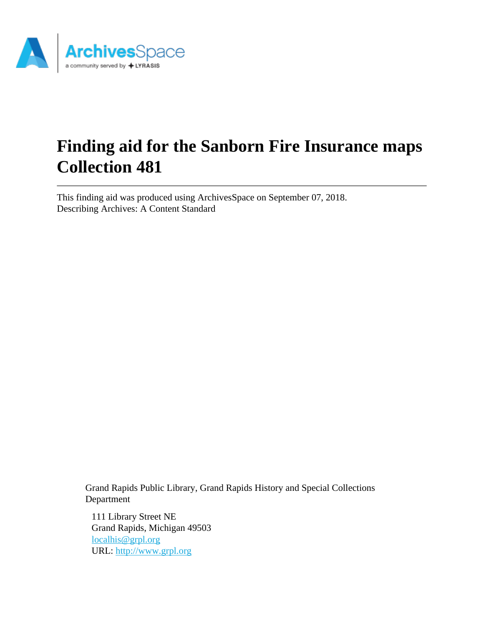

# **Finding aid for the Sanborn Fire Insurance maps Collection 481**

This finding aid was produced using ArchivesSpace on September 07, 2018. Describing Archives: A Content Standard

Grand Rapids Public Library, Grand Rapids History and Special Collections Department

111 Library Street NE Grand Rapids, Michigan 49503 [localhis@grpl.org](mailto:localhis@grpl.org) URL:<http://www.grpl.org>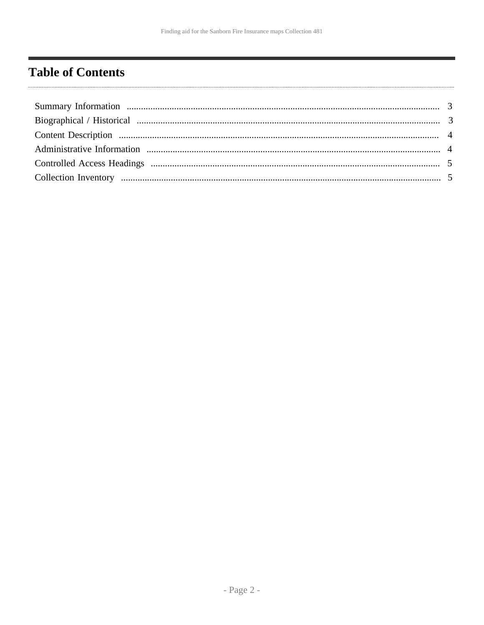# <span id="page-1-0"></span>**Table of Contents**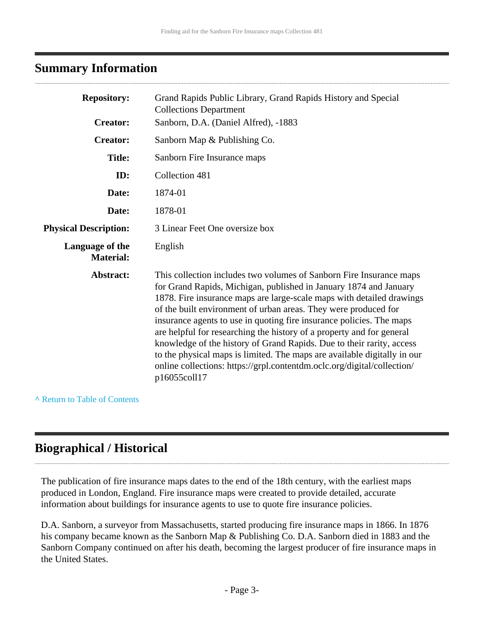# <span id="page-2-0"></span>**Summary Information**

| <b>Repository:</b>                  | Grand Rapids Public Library, Grand Rapids History and Special<br><b>Collections Department</b>                                                                                                                                                                                                                                                                                                                                                                                                                                                                                                                                                                                        |  |
|-------------------------------------|---------------------------------------------------------------------------------------------------------------------------------------------------------------------------------------------------------------------------------------------------------------------------------------------------------------------------------------------------------------------------------------------------------------------------------------------------------------------------------------------------------------------------------------------------------------------------------------------------------------------------------------------------------------------------------------|--|
| <b>Creator:</b>                     | Sanborn, D.A. (Daniel Alfred), -1883                                                                                                                                                                                                                                                                                                                                                                                                                                                                                                                                                                                                                                                  |  |
| <b>Creator:</b>                     | Sanborn Map & Publishing Co.                                                                                                                                                                                                                                                                                                                                                                                                                                                                                                                                                                                                                                                          |  |
| <b>Title:</b>                       | Sanborn Fire Insurance maps                                                                                                                                                                                                                                                                                                                                                                                                                                                                                                                                                                                                                                                           |  |
| ID:                                 | Collection 481                                                                                                                                                                                                                                                                                                                                                                                                                                                                                                                                                                                                                                                                        |  |
| Date:                               | 1874-01                                                                                                                                                                                                                                                                                                                                                                                                                                                                                                                                                                                                                                                                               |  |
| Date:                               | 1878-01                                                                                                                                                                                                                                                                                                                                                                                                                                                                                                                                                                                                                                                                               |  |
| <b>Physical Description:</b>        | 3 Linear Feet One oversize box                                                                                                                                                                                                                                                                                                                                                                                                                                                                                                                                                                                                                                                        |  |
| Language of the<br><b>Material:</b> | English                                                                                                                                                                                                                                                                                                                                                                                                                                                                                                                                                                                                                                                                               |  |
| Abstract:                           | This collection includes two volumes of Sanborn Fire Insurance maps<br>for Grand Rapids, Michigan, published in January 1874 and January<br>1878. Fire insurance maps are large-scale maps with detailed drawings<br>of the built environment of urban areas. They were produced for<br>insurance agents to use in quoting fire insurance policies. The maps<br>are helpful for researching the history of a property and for general<br>knowledge of the history of Grand Rapids. Due to their rarity, access<br>to the physical maps is limited. The maps are available digitally in our<br>online collections: https://grpl.contentdm.oclc.org/digital/collection/<br>p16055coll17 |  |

#### **^** [Return to Table of Contents](#page-1-0)

# <span id="page-2-1"></span>**Biographical / Historical**

The publication of fire insurance maps dates to the end of the 18th century, with the earliest maps produced in London, England. Fire insurance maps were created to provide detailed, accurate information about buildings for insurance agents to use to quote fire insurance policies.

D.A. Sanborn, a surveyor from Massachusetts, started producing fire insurance maps in 1866. In 1876 his company became known as the Sanborn Map & Publishing Co. D.A. Sanborn died in 1883 and the Sanborn Company continued on after his death, becoming the largest producer of fire insurance maps in the United States.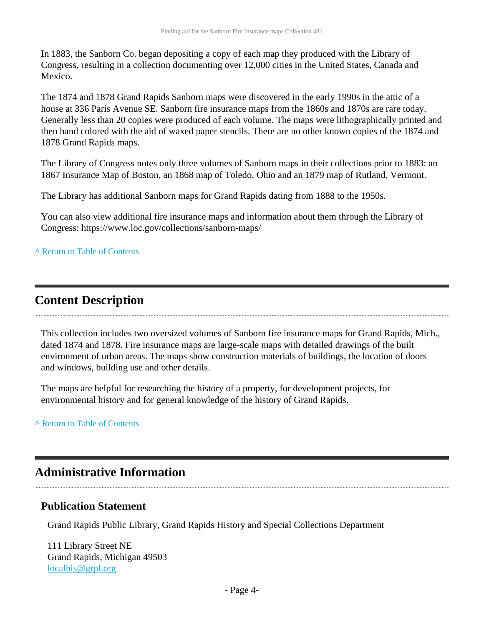In 1883, the Sanborn Co. began depositing a copy of each map they produced with the Library of Congress, resulting in a collection documenting over 12,000 cities in the United States, Canada and Mexico.

The 1874 and 1878 Grand Rapids Sanborn maps were discovered in the early 1990s in the attic of a house at 336 Paris Avenue SE. Sanborn fire insurance maps from the 1860s and 1870s are rare today. Generally less than 20 copies were produced of each volume. The maps were lithographically printed and then hand colored with the aid of waxed paper stencils. There are no other known copies of the 1874 and 1878 Grand Rapids maps.

The Library of Congress notes only three volumes of Sanborn maps in their collections prior to 1883: an 1867 Insurance Map of Boston, an 1868 map of Toledo, Ohio and an 1879 map of Rutland, Vermont.

The Library has additional Sanborn maps for Grand Rapids dating from 1888 to the 1950s.

You can also view additional fire insurance maps and information about them through the Library of Congress: https://www.loc.gov/collections/sanborn-maps/

#### **^** [Return to Table of Contents](#page-1-0)

# <span id="page-3-0"></span>**Content Description**

This collection includes two oversized volumes of Sanborn fire insurance maps for Grand Rapids, Mich., dated 1874 and 1878. Fire insurance maps are large-scale maps with detailed drawings of the built environment of urban areas. The maps show construction materials of buildings, the location of doors and windows, building use and other details.

The maps are helpful for researching the history of a property, for development projects, for environmental history and for general knowledge of the history of Grand Rapids.

**^** [Return to Table of Contents](#page-1-0)

## <span id="page-3-1"></span>**Administrative Information**

#### **Publication Statement**

Grand Rapids Public Library, Grand Rapids History and Special Collections Department

111 Library Street NE Grand Rapids, Michigan 49503 [localhis@grpl.org](mailto:localhis@grpl.org)